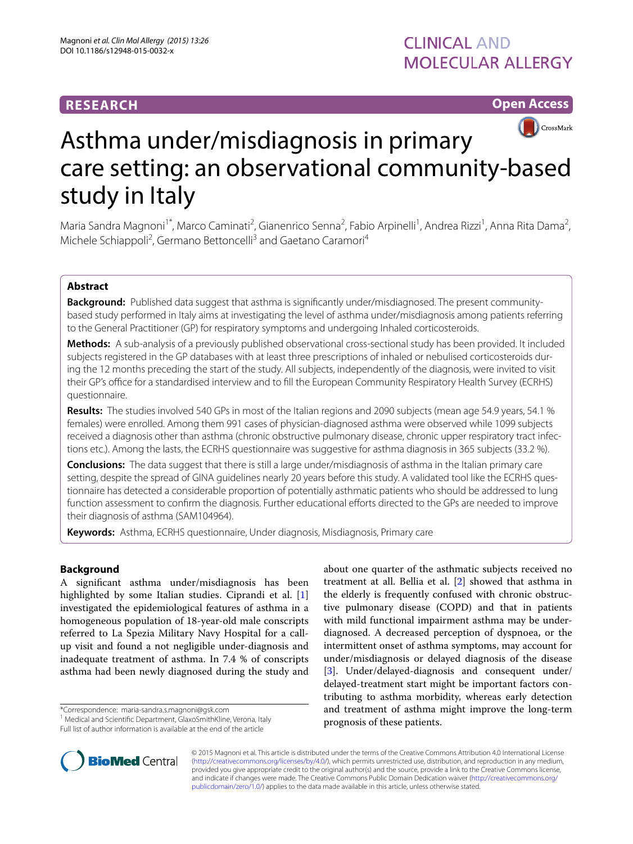# **RESEARCH**



# Asthma under/misdiagnosis in primary care setting: an observational community-based study in Italy

Maria Sandra Magnoni<sup>1\*</sup>, Marco Caminati<sup>2</sup>, Gianenrico Senna<sup>2</sup>, Fabio Arpinelli<sup>1</sup>, Andrea Rizzi<sup>1</sup>, Anna Rita Dama<sup>2</sup>, Michele Schiappoli<sup>2</sup>, Germano Bettoncelli<sup>3</sup> and Gaetano Caramori<sup>4</sup>

# **Abstract**

**Background:** Published data suggest that asthma is significantly under/misdiagnosed. The present communitybased study performed in Italy aims at investigating the level of asthma under/misdiagnosis among patients referring to the General Practitioner (GP) for respiratory symptoms and undergoing Inhaled corticosteroids.

**Methods:** A sub-analysis of a previously published observational cross-sectional study has been provided. It included subjects registered in the GP databases with at least three prescriptions of inhaled or nebulised corticosteroids during the 12 months preceding the start of the study. All subjects, independently of the diagnosis, were invited to visit their GP's office for a standardised interview and to fill the European Community Respiratory Health Survey (ECRHS) questionnaire.

**Results:** The studies involved 540 GPs in most of the Italian regions and 2090 subjects (mean age 54.9 years, 54.1 % females) were enrolled. Among them 991 cases of physician-diagnosed asthma were observed while 1099 subjects received a diagnosis other than asthma (chronic obstructive pulmonary disease, chronic upper respiratory tract infections etc.). Among the lasts, the ECRHS questionnaire was suggestive for asthma diagnosis in 365 subjects (33.2 %).

**Conclusions:** The data suggest that there is still a large under/misdiagnosis of asthma in the Italian primary care setting, despite the spread of GINA guidelines nearly 20 years before this study. A validated tool like the ECRHS questionnaire has detected a considerable proportion of potentially asthmatic patients who should be addressed to lung function assessment to confirm the diagnosis. Further educational efforts directed to the GPs are needed to improve their diagnosis of asthma (SAM104964).

**Keywords:** Asthma, ECRHS questionnaire, Under diagnosis, Misdiagnosis, Primary care

# **Background**

A significant asthma under/misdiagnosis has been highlighted by some Italian studies. Ciprandi et al. [\[1](#page-3-0)] investigated the epidemiological features of asthma in a homogeneous population of 18-year-old male conscripts referred to La Spezia Military Navy Hospital for a callup visit and found a not negligible under-diagnosis and inadequate treatment of asthma. In 7.4 % of conscripts asthma had been newly diagnosed during the study and

\*Correspondence: maria-sandra.s.magnoni@gsk.com 1

<sup>1</sup> Medical and Scientific Department, GlaxoSmithKline, Verona, Italy Full list of author information is available at the end of the article

about one quarter of the asthmatic subjects received no treatment at all. Bellia et al. [\[2](#page-3-1)] showed that asthma in the elderly is frequently confused with chronic obstructive pulmonary disease (COPD) and that in patients with mild functional impairment asthma may be underdiagnosed. A decreased perception of dyspnoea, or the intermittent onset of asthma symptoms, may account for under/misdiagnosis or delayed diagnosis of the disease [[3\]](#page-3-2). Under/delayed-diagnosis and consequent under/ delayed-treatment start might be important factors contributing to asthma morbidity, whereas early detection and treatment of asthma might improve the long-term prognosis of these patients.



© 2015 Magnoni et al. This article is distributed under the terms of the Creative Commons Attribution 4.0 International License [\(http://creativecommons.org/licenses/by/4.0/\)](http://creativecommons.org/licenses/by/4.0/), which permits unrestricted use, distribution, and reproduction in any medium, provided you give appropriate credit to the original author(s) and the source, provide a link to the Creative Commons license, and indicate if changes were made. The Creative Commons Public Domain Dedication waiver ([http://creativecommons.org/](http://creativecommons.org/publicdomain/zero/1.0/) [publicdomain/zero/1.0/](http://creativecommons.org/publicdomain/zero/1.0/)) applies to the data made available in this article, unless otherwise stated.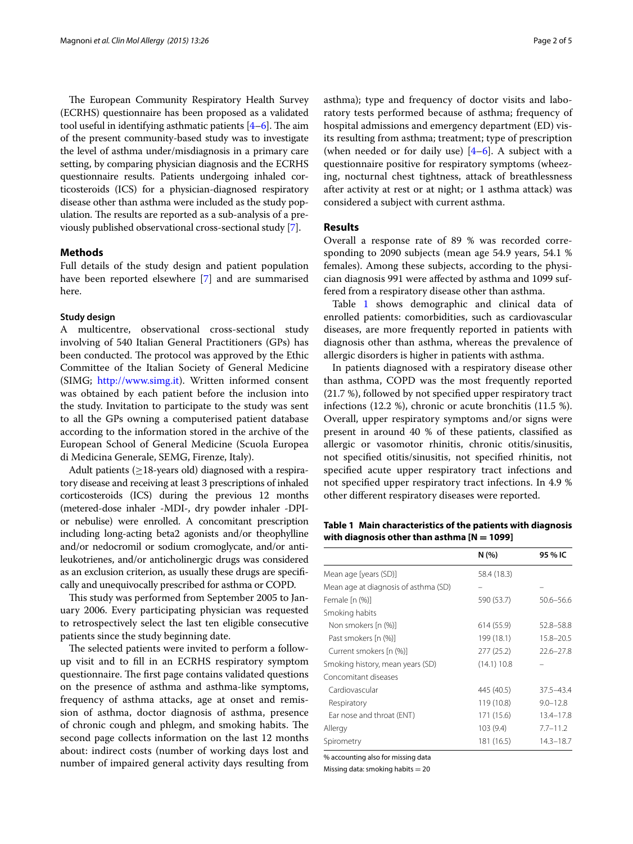The European Community Respiratory Health Survey (ECRHS) questionnaire has been proposed as a validated tool useful in identifying asthmatic patients  $[4-6]$  $[4-6]$  $[4-6]$ . The aim of the present community-based study was to investigate the level of asthma under/misdiagnosis in a primary care setting, by comparing physician diagnosis and the ECRHS questionnaire results. Patients undergoing inhaled corticosteroids (ICS) for a physician-diagnosed respiratory disease other than asthma were included as the study population. The results are reported as a sub-analysis of a previously published observational cross-sectional study [\[7](#page-3-5)].

## **Methods**

Full details of the study design and patient population have been reported elsewhere [[7](#page-3-5)] and are summarised here.

### **Study design**

A multicentre, observational cross-sectional study involving of 540 Italian General Practitioners (GPs) has been conducted. The protocol was approved by the Ethic Committee of the Italian Society of General Medicine (SIMG; [http://www.simg.it\)](http://www.simg.it). Written informed consent was obtained by each patient before the inclusion into the study. Invitation to participate to the study was sent to all the GPs owning a computerised patient database according to the information stored in the archive of the European School of General Medicine (Scuola Europea di Medicina Generale, SEMG, Firenze, Italy).

Adult patients ( $\geq$ 18-years old) diagnosed with a respiratory disease and receiving at least 3 prescriptions of inhaled corticosteroids (ICS) during the previous 12 months (metered-dose inhaler -MDI-, dry powder inhaler -DPIor nebulise) were enrolled. A concomitant prescription including long-acting beta2 agonists and/or theophylline and/or nedocromil or sodium cromoglycate, and/or antileukotrienes, and/or anticholinergic drugs was considered as an exclusion criterion, as usually these drugs are specifically and unequivocally prescribed for asthma or COPD.

This study was performed from September 2005 to January 2006. Every participating physician was requested to retrospectively select the last ten eligible consecutive patients since the study beginning date.

The selected patients were invited to perform a followup visit and to fill in an ECRHS respiratory symptom questionnaire. The first page contains validated questions on the presence of asthma and asthma-like symptoms, frequency of asthma attacks, age at onset and remission of asthma, doctor diagnosis of asthma, presence of chronic cough and phlegm, and smoking habits. The second page collects information on the last 12 months about: indirect costs (number of working days lost and number of impaired general activity days resulting from

asthma); type and frequency of doctor visits and laboratory tests performed because of asthma; frequency of hospital admissions and emergency department (ED) visits resulting from asthma; treatment; type of prescription (when needed or for daily use)  $[4-6]$  $[4-6]$ . A subject with a questionnaire positive for respiratory symptoms (wheezing, nocturnal chest tightness, attack of breathlessness after activity at rest or at night; or 1 asthma attack) was considered a subject with current asthma.

# **Results**

Overall a response rate of 89 % was recorded corresponding to 2090 subjects (mean age 54.9 years, 54.1 % females). Among these subjects, according to the physician diagnosis 991 were affected by asthma and 1099 suffered from a respiratory disease other than asthma.

Table [1](#page-1-0) shows demographic and clinical data of enrolled patients: comorbidities, such as cardiovascular diseases, are more frequently reported in patients with diagnosis other than asthma, whereas the prevalence of allergic disorders is higher in patients with asthma.

In patients diagnosed with a respiratory disease other than asthma, COPD was the most frequently reported (21.7 %), followed by not specified upper respiratory tract infections (12.2 %), chronic or acute bronchitis (11.5 %). Overall, upper respiratory symptoms and/or signs were present in around 40 % of these patients, classified as allergic or vasomotor rhinitis, chronic otitis/sinusitis, not specified otitis/sinusitis, not specified rhinitis, not specified acute upper respiratory tract infections and not specified upper respiratory tract infections. In 4.9 % other different respiratory diseases were reported.

<span id="page-1-0"></span>**Table 1 Main characteristics of the patients with diagnosis with diagnosis other than asthma [N = 1099]**

|                                      | N(%)          | 95 % IC       |
|--------------------------------------|---------------|---------------|
| Mean age [years (SD)]                | 58.4 (18.3)   |               |
| Mean age at diagnosis of asthma (SD) |               |               |
| Female [n (%)]                       | 590 (53.7)    | $50.6 - 56.6$ |
| Smoking habits                       |               |               |
| Non smokers [n (%)]                  | 614 (55.9)    | 52.8-58.8     |
| Past smokers [n (%)]                 | 199 (18.1)    | $15.8 - 20.5$ |
| Current smokers [n (%)]              | 277(25.2)     | $22.6 - 27.8$ |
| Smoking history, mean years (SD)     | $(14.1)$ 10.8 |               |
| Concomitant diseases                 |               |               |
| Cardiovascular                       | 445 (40.5)    | $37.5 - 43.4$ |
| Respiratory                          | 119 (10.8)    | $9.0 - 12.8$  |
| Ear nose and throat (ENT)            | 171 (15.6)    | $13.4 - 17.8$ |
| Allergy                              | 103 (9.4)     | $7.7 - 11.2$  |
| Spirometry                           | 181 (16.5)    | $14.3 - 18.7$ |

% accounting also for missing data

Missing data: smoking habits  $= 20$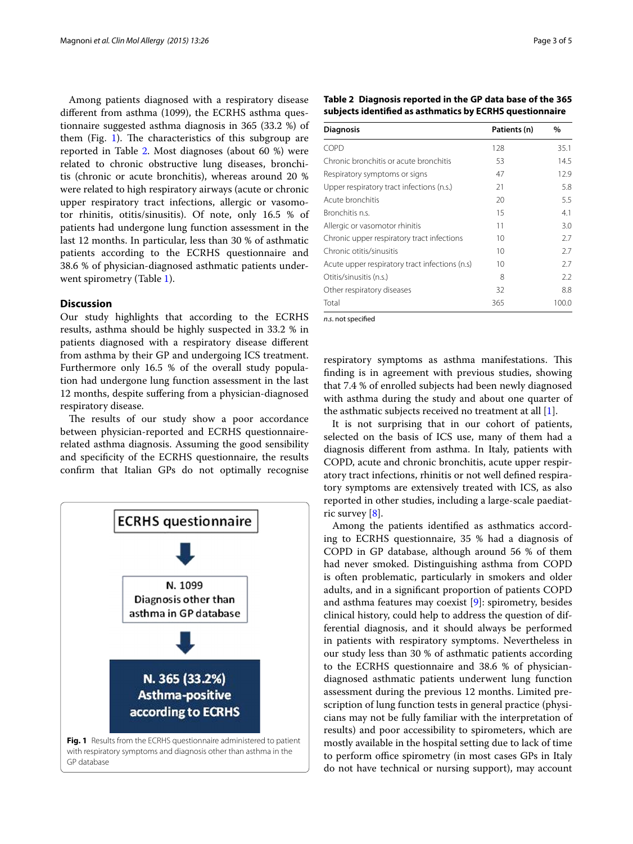Among patients diagnosed with a respiratory disease different from asthma (1099), the ECRHS asthma questionnaire suggested asthma diagnosis in 365 (33.2 %) of them (Fig. [1\)](#page-2-0). The characteristics of this subgroup are reported in Table [2.](#page-2-1) Most diagnoses (about 60 %) were related to chronic obstructive lung diseases, bronchitis (chronic or acute bronchitis), whereas around 20 % were related to high respiratory airways (acute or chronic upper respiratory tract infections, allergic or vasomotor rhinitis, otitis/sinusitis). Of note, only 16.5 % of patients had undergone lung function assessment in the last 12 months. In particular, less than 30 % of asthmatic patients according to the ECRHS questionnaire and 38.6 % of physician-diagnosed asthmatic patients under-went spirometry (Table [1](#page-1-0)).

# **Discussion**

Our study highlights that according to the ECRHS results, asthma should be highly suspected in 33.2 % in patients diagnosed with a respiratory disease different from asthma by their GP and undergoing ICS treatment. Furthermore only 16.5 % of the overall study population had undergone lung function assessment in the last 12 months, despite suffering from a physician-diagnosed respiratory disease.

The results of our study show a poor accordance between physician-reported and ECRHS questionnairerelated asthma diagnosis. Assuming the good sensibility and specificity of the ECRHS questionnaire, the results confirm that Italian GPs do not optimally recognise

<span id="page-2-0"></span>

<span id="page-2-1"></span>**Table 2 Diagnosis reported in the GP data base of the 365 subjects identified as asthmatics by ECRHS questionnaire**

| <b>Diagnosis</b>                               | Patients (n) | $\%$  |
|------------------------------------------------|--------------|-------|
| COPD                                           | 128          | 35.1  |
| Chronic bronchitis or acute bronchitis         | 53           | 14.5  |
| Respiratory symptoms or signs                  | 47           | 12.9  |
| Upper respiratory tract infections (n.s.)      | 21           | 5.8   |
| Acute bronchitis                               | 20           | 5.5   |
| Bronchitis n.s.                                | 15           | 4.1   |
| Allergic or vasomotor rhinitis                 | 11           | 3.0   |
| Chronic upper respiratory tract infections     | 10           | 2.7   |
| Chronic otitis/sinusitis                       | 10           | 2.7   |
| Acute upper respiratory tract infections (n.s) | 10           | 2.7   |
| Otitis/sinusitis (n.s.)                        | 8            | 2.2   |
| Other respiratory diseases                     | 32           | 8.8   |
| Total                                          | 365          | 100.0 |

*n*.*s*. not specified

respiratory symptoms as asthma manifestations. This finding is in agreement with previous studies, showing that 7.4 % of enrolled subjects had been newly diagnosed with asthma during the study and about one quarter of the asthmatic subjects received no treatment at all [[1\]](#page-3-0).

It is not surprising that in our cohort of patients, selected on the basis of ICS use, many of them had a diagnosis different from asthma. In Italy, patients with COPD, acute and chronic bronchitis, acute upper respiratory tract infections, rhinitis or not well defined respiratory symptoms are extensively treated with ICS, as also reported in other studies, including a large-scale paediatric survey [\[8](#page-3-6)].

Among the patients identified as asthmatics according to ECRHS questionnaire, 35 % had a diagnosis of COPD in GP database, although around 56 % of them had never smoked. Distinguishing asthma from COPD is often problematic, particularly in smokers and older adults, and in a significant proportion of patients COPD and asthma features may coexist [[9\]](#page-4-0): spirometry, besides clinical history, could help to address the question of differential diagnosis, and it should always be performed in patients with respiratory symptoms. Nevertheless in our study less than 30 % of asthmatic patients according to the ECRHS questionnaire and 38.6 % of physiciandiagnosed asthmatic patients underwent lung function assessment during the previous 12 months. Limited prescription of lung function tests in general practice (physicians may not be fully familiar with the interpretation of results) and poor accessibility to spirometers, which are mostly available in the hospital setting due to lack of time to perform office spirometry (in most cases GPs in Italy do not have technical or nursing support), may account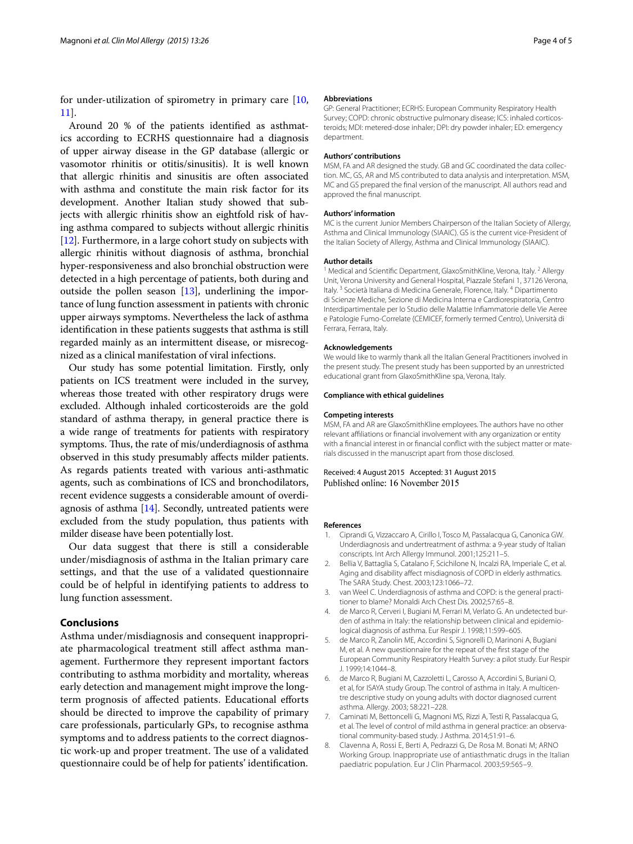for under-utilization of spirometry in primary care [\[10](#page-4-1), [11\]](#page-4-2).

Around 20 % of the patients identified as asthmatics according to ECRHS questionnaire had a diagnosis of upper airway disease in the GP database (allergic or vasomotor rhinitis or otitis/sinusitis). It is well known that allergic rhinitis and sinusitis are often associated with asthma and constitute the main risk factor for its development. Another Italian study showed that subjects with allergic rhinitis show an eightfold risk of having asthma compared to subjects without allergic rhinitis [[12\]](#page-4-3). Furthermore, in a large cohort study on subjects with allergic rhinitis without diagnosis of asthma, bronchial hyper-responsiveness and also bronchial obstruction were detected in a high percentage of patients, both during and outside the pollen season [\[13](#page-4-4)], underlining the importance of lung function assessment in patients with chronic upper airways symptoms. Nevertheless the lack of asthma identification in these patients suggests that asthma is still regarded mainly as an intermittent disease, or misrecognized as a clinical manifestation of viral infections.

Our study has some potential limitation. Firstly, only patients on ICS treatment were included in the survey, whereas those treated with other respiratory drugs were excluded. Although inhaled corticosteroids are the gold standard of asthma therapy, in general practice there is a wide range of treatments for patients with respiratory symptoms. Thus, the rate of mis/underdiagnosis of asthma observed in this study presumably affects milder patients. As regards patients treated with various anti-asthmatic agents, such as combinations of ICS and bronchodilators, recent evidence suggests a considerable amount of overdiagnosis of asthma [[14](#page-4-5)]. Secondly, untreated patients were excluded from the study population, thus patients with milder disease have been potentially lost.

Our data suggest that there is still a considerable under/misdiagnosis of asthma in the Italian primary care settings, and that the use of a validated questionnaire could be of helpful in identifying patients to address to lung function assessment.

# **Conclusions**

Asthma under/misdiagnosis and consequent inappropriate pharmacological treatment still affect asthma management. Furthermore they represent important factors contributing to asthma morbidity and mortality, whereas early detection and management might improve the longterm prognosis of affected patients. Educational efforts should be directed to improve the capability of primary care professionals, particularly GPs, to recognise asthma symptoms and to address patients to the correct diagnostic work-up and proper treatment. The use of a validated questionnaire could be of help for patients' identification.

#### **Abbreviations**

GP: General Practitioner; ECRHS: European Community Respiratory Health Survey; COPD: chronic obstructive pulmonary disease; ICS: inhaled corticosteroids; MDI: metered-dose inhaler; DPI: dry powder inhaler; ED: emergency department.

#### **Authors' contributions**

MSM, FA and AR designed the study. GB and GC coordinated the data collection. MC, GS, AR and MS contributed to data analysis and interpretation. MSM, MC and GS prepared the final version of the manuscript. All authors read and approved the final manuscript.

#### **Authors' information**

MC is the current Junior Members Chairperson of the Italian Society of Allergy, Asthma and Clinical Immunology (SIAAIC). GS is the current vice-President of the Italian Society of Allergy, Asthma and Clinical Immunology (SIAAIC).

#### **Author details**

<sup>1</sup> Medical and Scientific Department, GlaxoSmithKline, Verona, Italy. <sup>2</sup> Allergy Unit, Verona University and General Hospital, Piazzale Stefani 1, 37126 Verona, Italy. <sup>3</sup> Società Italiana di Medicina Generale, Florence, Italy. <sup>4</sup> Dipartimento di Scienze Mediche, Sezione di Medicina Interna e Cardiorespiratoria, Centro Interdipartimentale per lo Studio delle Malattie Infiammatorie delle Vie Aeree e Patologie Fumo-Correlate (CEMICEF, formerly termed Centro), Università di Ferrara, Ferrara, Italy.

#### **Acknowledgements**

We would like to warmly thank all the Italian General Practitioners involved in the present study. The present study has been supported by an unrestricted educational grant from GlaxoSmithKline spa, Verona, Italy.

#### **Compliance with ethical guidelines**

#### **Competing interests**

MSM, FA and AR are GlaxoSmithKline employees. The authors have no other relevant affiliations or financial involvement with any organization or entity with a financial interest in or financial conflict with the subject matter or materials discussed in the manuscript apart from those disclosed.

## Received: 4 August 2015 Accepted: 31 August 2015 Published online: 16 November 2015

#### **References**

- <span id="page-3-0"></span>1. Ciprandi G, Vizzaccaro A, Cirillo I, Tosco M, Passalacqua G, Canonica GW. Underdiagnosis and undertreatment of asthma: a 9-year study of Italian conscripts. Int Arch Allergy Immunol. 2001;125:211–5.
- <span id="page-3-1"></span>2. Bellia V, Battaglia S, Catalano F, Scichilone N, Incalzi RA, Imperiale C, et al. Aging and disability affect misdiagnosis of COPD in elderly asthmatics. The SARA Study. Chest. 2003;123:1066–72.
- <span id="page-3-2"></span>3. van Weel C. Underdiagnosis of asthma and COPD: is the general practitioner to blame? Monaldi Arch Chest Dis. 2002;57:65–8.
- <span id="page-3-3"></span>4. de Marco R, Cerveri I, Bugiani M, Ferrari M, Verlato G. An undetected burden of asthma in Italy: the relationship between clinical and epidemiological diagnosis of asthma. Eur Respir J. 1998;11:599–605.
- 5. de Marco R, Zanolin ME, Accordini S, Signorelli D, Marinoni A, Bugiani M, et al. A new questionnaire for the repeat of the first stage of the European Community Respiratory Health Survey: a pilot study. Eur Respir J. 1999;14:1044–8.
- <span id="page-3-4"></span>6. de Marco R, Bugiani M, Cazzoletti L, Carosso A, Accordini S, Buriani O, et al, for ISAYA study Group. The control of asthma in Italy. A multicentre descriptive study on young adults with doctor diagnosed current asthma. Allergy. 2003; 58:221–228.
- <span id="page-3-5"></span>7. Caminati M, Bettoncelli G, Magnoni MS, Rizzi A, Testi R, Passalacqua G, et al. The level of control of mild asthma in general practice: an observational community-based study. J Asthma. 2014;51:91–6.
- <span id="page-3-6"></span>8. Clavenna A, Rossi E, Berti A, Pedrazzi G, De Rosa M. Bonati M; ARNO Working Group. Inappropriate use of antiasthmatic drugs in the Italian paediatric population. Eur J Clin Pharmacol. 2003;59:565–9.